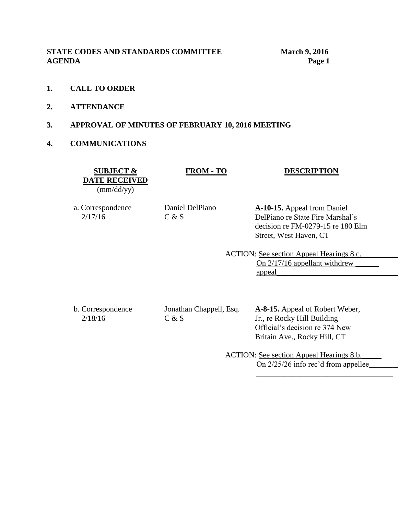**STATE CODES AND STANDARDS COMMITTEE March 9, 2016 AGENDA Page 1**

- **1. CALL TO ORDER**
- **2. ATTENDANCE**
- **3. APPROVAL OF MINUTES OF FEBRUARY 10, 2016 MEETING**
- **4. COMMUNICATIONS**

**SUBJECT & DATE RECEIVED** (mm/dd/yy)

#### **FROM - TO DESCRIPTION**

a. Correspondence 2/17/16

Daniel DelPiano  $C & S$ 

**A-10-15.** Appeal from Daniel DelPiano re State Fire Marshal's decision re FM-0279-15 re 180 Elm Street, West Haven, CT

ACTION: See section Appeal Hearings 8.c. On 2/17/16 appellant withdrew appeal\_\_\_\_\_\_\_\_\_\_\_\_\_\_\_\_\_\_\_\_\_\_\_\_\_\_\_\_\_\_\_\_\_\_\_

b. Correspondence 2/18/16

Jonathan Chappell, Esq.  $C & S$ 

**A-8-15.** Appeal of Robert Weber, Jr., re Rocky Hill Building Official's decision re 374 New Britain Ave., Rocky Hill, CT

ACTION: See section Appeal Hearings 8.b. On 2/25/26 info rec'd from appellee\_

 $\overline{\phantom{a}}$  ,  $\overline{\phantom{a}}$  ,  $\overline{\phantom{a}}$  ,  $\overline{\phantom{a}}$  ,  $\overline{\phantom{a}}$  ,  $\overline{\phantom{a}}$  ,  $\overline{\phantom{a}}$  ,  $\overline{\phantom{a}}$  ,  $\overline{\phantom{a}}$  ,  $\overline{\phantom{a}}$  ,  $\overline{\phantom{a}}$  ,  $\overline{\phantom{a}}$  ,  $\overline{\phantom{a}}$  ,  $\overline{\phantom{a}}$  ,  $\overline{\phantom{a}}$  ,  $\overline{\phantom{a}}$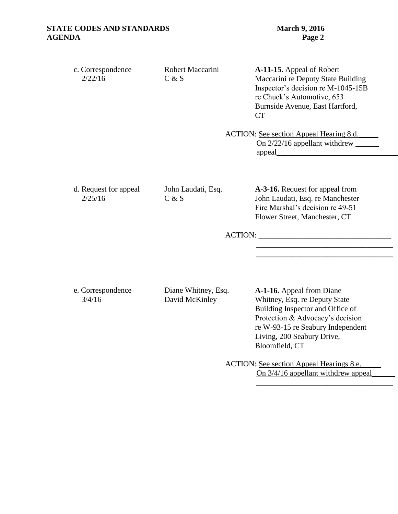| c. Correspondence<br>2/22/16 | Robert Maccarini<br>C & S | A-11-15. Appeal of Robert<br>Maccarini re Deputy State Building<br>Inspector's decision re M-1045-15B<br>re Chuck's Automotive, 653<br>Burnside Avenue, East Hartford, |
|------------------------------|---------------------------|------------------------------------------------------------------------------------------------------------------------------------------------------------------------|
|------------------------------|---------------------------|------------------------------------------------------------------------------------------------------------------------------------------------------------------------|

ACTION: See section Appeal Hearing 8.d.\_\_\_\_\_ On 2/22/16 appellant withdrew appeal\_\_\_\_\_\_\_\_\_\_\_\_\_\_\_\_\_\_\_\_\_\_\_\_\_\_\_\_\_\_\_\_\_\_\_

d. Request for appeal 2/25/16

John Laudati, Esq.  $C & S$ 

**A-3-16.** Request for appeal from John Laudati, Esq. re Manchester Fire Marshal's decision re 49-51 Flower Street, Manchester, CT

 $\mathcal{L}_\text{max} = \frac{1}{2} \sum_{i=1}^{n} \frac{1}{2} \sum_{i=1}^{n} \frac{1}{2} \sum_{i=1}^{n} \frac{1}{2} \sum_{i=1}^{n} \frac{1}{2} \sum_{i=1}^{n} \frac{1}{2} \sum_{i=1}^{n} \frac{1}{2} \sum_{i=1}^{n} \frac{1}{2} \sum_{i=1}^{n} \frac{1}{2} \sum_{i=1}^{n} \frac{1}{2} \sum_{i=1}^{n} \frac{1}{2} \sum_{i=1}^{n} \frac{1}{2} \sum_{i=1}^{n} \frac{1$  $\frac{\partial}{\partial x_i}$ 

ACTION: \_\_\_\_\_\_\_\_\_\_\_\_\_\_\_\_\_\_\_\_\_\_\_\_\_\_\_\_\_\_\_\_\_\_

e. Correspondence 3/4/16

Diane Whitney, Esq. David McKinley

**A-1-16.** Appeal from Diane Whitney, Esq. re Deputy State Building Inspector and Office of Protection & Advocacy's decision re W-93-15 re Seabury Independent Living, 200 Seabury Drive, Bloomfield, CT

ACTION: See section Appeal Hearings 8.e. On 3/4/16 appellant withdrew appeal

 $\mathcal{L}_\text{max} = \frac{1}{2} \sum_{i=1}^n \frac{1}{2} \sum_{i=1}^n \frac{1}{2} \sum_{i=1}^n \frac{1}{2} \sum_{i=1}^n \frac{1}{2} \sum_{i=1}^n \frac{1}{2} \sum_{i=1}^n \frac{1}{2} \sum_{i=1}^n \frac{1}{2} \sum_{i=1}^n \frac{1}{2} \sum_{i=1}^n \frac{1}{2} \sum_{i=1}^n \frac{1}{2} \sum_{i=1}^n \frac{1}{2} \sum_{i=1}^n \frac{1}{2} \sum_{i=1}^n$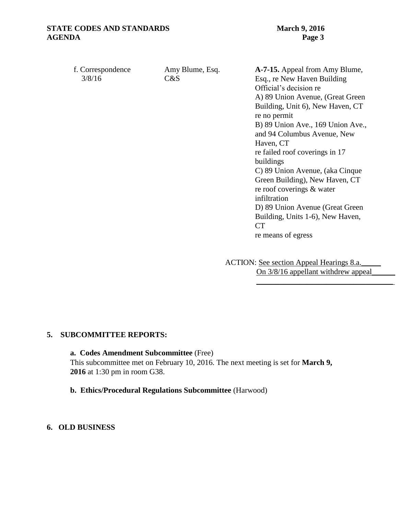| f. Correspondence | Amy Blume, Esq. | A-7-15. Appeal from Amy Blume,    |
|-------------------|-----------------|-----------------------------------|
| 3/8/16            | C&S             | Esq., re New Haven Building       |
|                   |                 | Official's decision re            |
|                   |                 | A) 89 Union Avenue, (Great Green  |
|                   |                 | Building, Unit 6), New Haven, CT  |
|                   |                 | re no permit                      |
|                   |                 | B) 89 Union Ave., 169 Union Ave., |
|                   |                 | and 94 Columbus Avenue, New       |
|                   |                 | Haven, CT                         |
|                   |                 | re failed roof coverings in 17    |
|                   |                 | buildings                         |
|                   |                 | C) 89 Union Avenue, (aka Cinque   |
|                   |                 | Green Building), New Haven, CT    |
|                   |                 | re roof coverings & water         |
|                   |                 | infiltration                      |
|                   |                 | D) 89 Union Avenue (Great Green   |
|                   |                 | Building, Units 1-6), New Haven,  |
|                   |                 | <b>CT</b>                         |
|                   |                 | re means of egress                |
|                   |                 |                                   |
|                   |                 |                                   |

ACTION: See section Appeal Hearings 8.a. On  $3/8/16$  appellant withdrew appeal  $\overline{\phantom{a}}$  ,  $\overline{\phantom{a}}$  ,  $\overline{\phantom{a}}$  ,  $\overline{\phantom{a}}$  ,  $\overline{\phantom{a}}$  ,  $\overline{\phantom{a}}$  ,  $\overline{\phantom{a}}$  ,  $\overline{\phantom{a}}$  ,  $\overline{\phantom{a}}$  ,  $\overline{\phantom{a}}$  ,  $\overline{\phantom{a}}$  ,  $\overline{\phantom{a}}$  ,  $\overline{\phantom{a}}$  ,  $\overline{\phantom{a}}$  ,  $\overline{\phantom{a}}$  ,  $\overline{\phantom{a}}$ 

#### **5. SUBCOMMITTEE REPORTS:**

**a. Codes Amendment Subcommittee** (Free) This subcommittee met on February 10, 2016. The next meeting is set for **March 9, 2016** at 1:30 pm in room G38.

**b. Ethics/Procedural Regulations Subcommittee** (Harwood)

#### **6. OLD BUSINESS**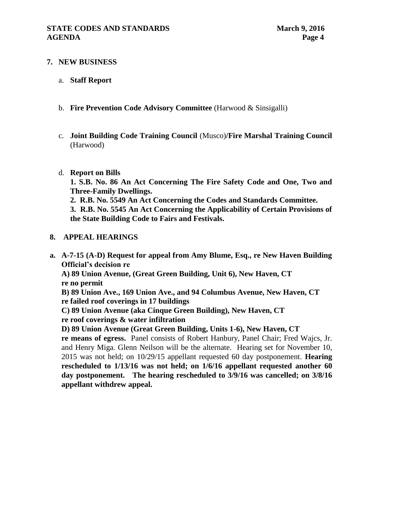### **7. NEW BUSINESS**

- a. **Staff Report**
- b. **Fire Prevention Code Advisory Committee** (Harwood & Sinsigalli)
- c. **Joint Building Code Training Council** (Musco)**/Fire Marshal Training Council**  (Harwood)
- d. **Report on Bills**

**1. S.B. No. 86 An Act Concerning The Fire Safety Code and One, Two and Three-Family Dwellings.**

**2. R.B. No. 5549 An Act Concerning the Codes and Standards Committee.**

**3. R.B. No. 5545 An Act Concerning the Applicability of Certain Provisions of the State Building Code to Fairs and Festivals.**

#### **8. APPEAL HEARINGS**

**a. A-7-15 (A-D) Request for appeal from Amy Blume, Esq., re New Haven Building Official's decision re** 

**A) 89 Union Avenue, (Great Green Building, Unit 6), New Haven, CT re no permit**

**B) 89 Union Ave., 169 Union Ave., and 94 Columbus Avenue, New Haven, CT re failed roof coverings in 17 buildings**

**C) 89 Union Avenue (aka Cinque Green Building), New Haven, CT**

**re roof coverings & water infiltration**

**D) 89 Union Avenue (Great Green Building, Units 1-6), New Haven, CT** 

**re means of egress.** Panel consists of Robert Hanbury, Panel Chair; Fred Wajcs, Jr. and Henry Miga. Glenn Neilson will be the alternate.Hearing set for November 10, 2015 was not held; on 10/29/15 appellant requested 60 day postponement. **Hearing rescheduled to 1/13/16 was not held; on 1/6/16 appellant requested another 60 day postponement. The hearing rescheduled to 3/9/16 was cancelled; on 3/8/16 appellant withdrew appeal.**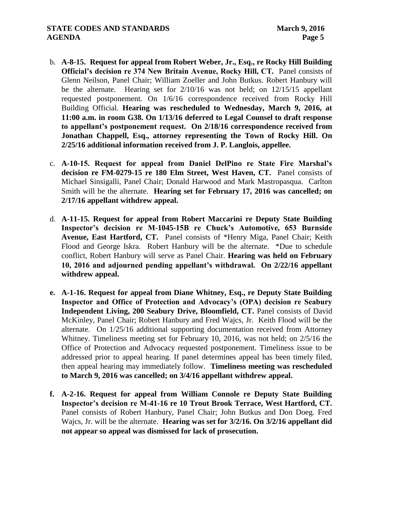### **STATE CODES AND STANDARDS** March 9, 2016 **AGENDA** Page 5

- b. **A-8-15. Request for appeal from Robert Weber, Jr., Esq., re Rocky Hill Building Official's decision re 374 New Britain Avenue, Rocky Hill, CT.** Panel consists of Glenn Neilson, Panel Chair; William Zoeller and John Butkus. Robert Hanbury will be the alternate. Hearing set for 2/10/16 was not held; on 12/15/15 appellant requested postponement. On 1/6/16 correspondence received from Rocky Hill Building Official. **Hearing was rescheduled to Wednesday, March 9, 2016, at 11:00 a.m. in room G38. On 1/13/16 deferred to Legal Counsel to draft response to appellant's postponement request. On 2/18/16 correspondence received from Jonathan Chappell, Esq., attorney representing the Town of Rocky Hill. On 2/25/16 additional information received from J. P. Langlois, appellee.**
- c. **A-10-15. Request for appeal from Daniel DelPino re State Fire Marshal's decision re FM-0279-15 re 180 Elm Street, West Haven, CT.** Panel consists of Michael Sinsigalli, Panel Chair; Donald Harwood and Mark Mastropasqua. Carlton Smith will be the alternate. **Hearing set for February 17, 2016 was cancelled; on 2/17/16 appellant withdrew appeal.**
- d. **A-11-15. Request for appeal from Robert Maccarini re Deputy State Building Inspector's decision re M-1045-15B re Chuck's Automotive, 653 Burnside Avenue, East Hartford, CT.** Panel consists of \*Henry Miga, Panel Chair; Keith Flood and George Iskra. Robert Hanbury will be the alternate. \*Due to schedule conflict, Robert Hanbury will serve as Panel Chair. **Hearing was held on February 10, 2016 and adjourned pending appellant's withdrawal. On 2/22/16 appellant withdrew appeal.**
- **e. A-1-16. Request for appeal from Diane Whitney, Esq., re Deputy State Building Inspector and Office of Protection and Advocacy's (OPA) decision re Seabury Independent Living, 200 Seabury Drive, Bloomfield, CT.** Panel consists of David McKinley, Panel Chair; Robert Hanbury and Fred Wajcs, Jr. Keith Flood will be the alternate. On 1/25/16 additional supporting documentation received from Attorney Whitney. Timeliness meeting set for February 10, 2016, was not held; on 2/5/16 the Office of Protection and Advocacy requested postponement. Timeliness issue to be addressed prior to appeal hearing. If panel determines appeal has been timely filed, then appeal hearing may immediately follow. **Timeliness meeting was rescheduled to March 9, 2016 was cancelled; on 3/4/16 appellant withdrew appeal.**
- **f. A-2-16. Request for appeal from William Connole re Deputy State Building Inspector's decision re M-41-16 re 10 Trout Brook Terrace, West Hartford, CT.**  Panel consists of Robert Hanbury, Panel Chair; John Butkus and Don Doeg. Fred Wajcs, Jr. will be the alternate. **Hearing was set for 3/2/16. On 3/2/16 appellant did not appear so appeal was dismissed for lack of prosecution.**